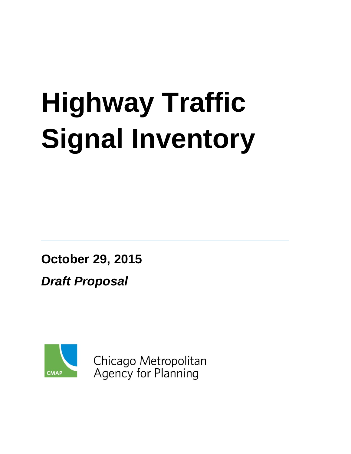# **Highway Traffic Signal Inventory**

**October 29, 2015**

*Draft Proposal*



Chicago Metropolitan **Agency for Planning**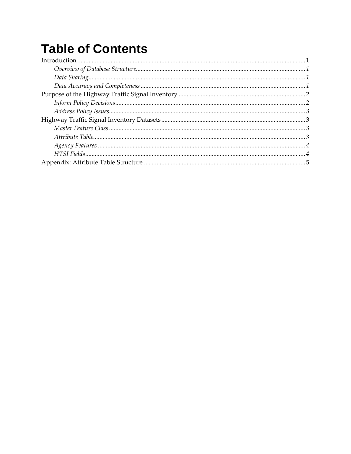## **Table of Contents**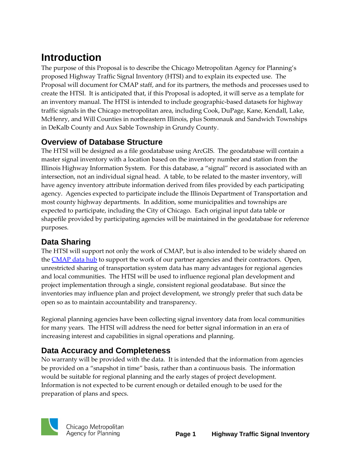## <span id="page-2-0"></span>**Introduction**

The purpose of this Proposal is to describe the Chicago Metropolitan Agency for Planning's proposed Highway Traffic Signal Inventory (HTSI) and to explain its expected use. The Proposal will document for CMAP staff, and for its partners, the methods and processes used to create the HTSI. It is anticipated that, if this Proposal is adopted, it will serve as a template for an inventory manual. The HTSI is intended to include geographic-based datasets for highway traffic signals in the Chicago metropolitan area, including Cook, DuPage, Kane, Kendall, Lake, McHenry, and Will Counties in northeastern Illinois, plus Somonauk and Sandwich Townships in DeKalb County and Aux Sable Township in Grundy County.

#### <span id="page-2-1"></span>**Overview of Database Structure**

The HTSI will be designed as a file geodatabase using ArcGIS. The geodatabase will contain a master signal inventory with a location based on the inventory number and station from the Illinois Highway Information System. For this database, a "signal" record is associated with an intersection, not an individual signal head. A table, to be related to the master inventory, will have agency inventory attribute information derived from files provided by each participating agency. Agencies expected to participate include the Illinois Department of Transportation and most county highway departments. In addition, some municipalities and townships are expected to participate, including the City of Chicago. Each original input data table or shapefile provided by participating agencies will be maintained in the geodatabase for reference purposes.

#### <span id="page-2-2"></span>**Data Sharing**

The HTSI will support not only the work of CMAP, but is also intended to be widely shared on the **CMAP** data hub to support the work of our partner agencies and their contractors. Open, unrestricted sharing of transportation system data has many advantages for regional agencies and local communities. The HTSI will be used to influence regional plan development and project implementation through a single, consistent regional geodatabase. But since the inventories may influence plan and project development, we strongly prefer that such data be open so as to maintain accountability and transparency.

Regional planning agencies have been collecting signal inventory data from local communities for many years. The HTSI will address the need for better signal information in an era of increasing interest and capabilities in signal operations and planning.

#### <span id="page-2-3"></span>**Data Accuracy and Completeness**

No warranty will be provided with the data. It is intended that the information from agencies be provided on a "snapshot in time" basis, rather than a continuous basis. The information would be suitable for regional planning and the early stages of project development. Information is not expected to be current enough or detailed enough to be used for the preparation of plans and specs.

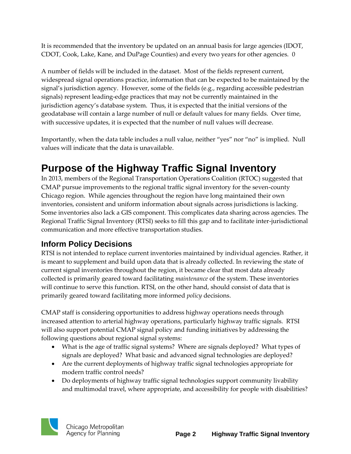It is recommended that the inventory be updated on an annual basis for large agencies (IDOT, CDOT, Cook, Lake, Kane, and DuPage Counties) and every two years for other agencies. 0

A number of fields will be included in the dataset. Most of the fields represent current, widespread signal operations practice, information that can be expected to be maintained by the signal's jurisdiction agency. However, some of the fields (e.g., regarding accessible pedestrian signals) represent leading-edge practices that may not be currently maintained in the jurisdiction agency's database system. Thus, it is expected that the initial versions of the geodatabase will contain a large number of null or default values for many fields. Over time, with successive updates, it is expected that the number of null values will decrease.

Importantly, when the data table includes a null value, neither "yes" nor "no" is implied. Null values will indicate that the data is unavailable.

## <span id="page-3-0"></span>**Purpose of the Highway Traffic Signal Inventory**

In 2013, members of the Regional Transportation Operations Coalition (RTOC) suggested that CMAP pursue improvements to the regional traffic signal inventory for the seven-county Chicago region. While agencies throughout the region have long maintained their own inventories, consistent and uniform information about signals across jurisdictions is lacking. Some inventories also lack a GIS component. This complicates data sharing across agencies. The Regional Traffic Signal Inventory (RTSI) seeks to fill this gap and to facilitate inter-jurisdictional communication and more effective transportation studies.

#### <span id="page-3-1"></span>**Inform Policy Decisions**

RTSI is not intended to replace current inventories maintained by individual agencies. Rather, it is meant to supplement and build upon data that is already collected. In reviewing the state of current signal inventories throughout the region, it became clear that most data already collected is primarily geared toward facilitating *maintenance* of the system. These inventories will continue to serve this function. RTSI, on the other hand, should consist of data that is primarily geared toward facilitating more informed *policy* decisions.

CMAP staff is considering opportunities to address highway operations needs through increased attention to arterial highway operations, particularly highway traffic signals. RTSI will also support potential CMAP signal policy and funding initiatives by addressing the following questions about regional signal systems:

- What is the age of traffic signal systems? Where are signals deployed? What types of signals are deployed? What basic and advanced signal technologies are deployed?
- Are the current deployments of highway traffic signal technologies appropriate for modern traffic control needs?
- Do deployments of highway traffic signal technologies support community livability and multimodal travel, where appropriate, and accessibility for people with disabilities?

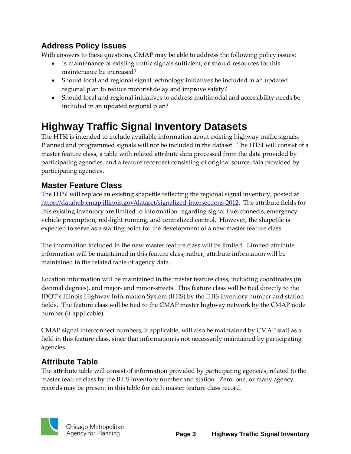#### <span id="page-4-0"></span>**Address Policy Issues**

With answers to these questions, CMAP may be able to address the following policy issues:

- Is maintenance of existing traffic signals sufficient, or should resources for this maintenance be increased?
- Should local and regional signal technology initiatives be included in an updated regional plan to reduce motorist delay and improve safety?
- Should local and regional initiatives to address multimodal and accessibility needs be included in an updated regional plan?

## <span id="page-4-1"></span>**Highway Traffic Signal Inventory Datasets**

The HTSI is intended to include available information about existing highway traffic signals. Planned and programmed signals will not be included in the dataset. The HTSI will consist of a master feature class, a table with related attribute data processed from the data provided by participating agencies, and a feature recordset consisting of original source data provided by participating agencies.

#### <span id="page-4-2"></span>**Master Feature Class**

The HTSI will replace an existing shapefile reflecting the regional signal inventory, posted at [https://datahub.cmap.illinois.gov/dataset/signalized-intersections-2012.](https://datahub.cmap.illinois.gov/dataset/signalized-intersections-2012) The attribute fields for this existing inventory are limited to information regarding signal interconnects, emergency vehicle preemption, red-light running, and centralized control. However, the shapefile is expected to serve as a starting point for the development of a new master feature class.

The information included in the new master feature class will be limited. Limited attribute information will be maintained in this feature class; rather, attribute information will be maintained in the related table of agency data.

Location information will be maintained in the master feature class, including coordinates (in decimal degrees), and major- and minor-streets. This feature class will be tied directly to the IDOT's Illinois Highway Information System (IHIS) by the IHIS inventory number and station fields. The feature class will be tied to the CMAP master highway network by the CMAP node number (if applicable).

CMAP signal interconnect numbers, if applicable, will also be maintained by CMAP staff as a field in this feature class, since that information is not necessarily maintained by participating agencies.

#### <span id="page-4-3"></span>**Attribute Table**

The attribute table will consist of information provided by participating agencies, related to the master feature class by the IHIS inventory number and station. Zero, one, or many agency records may be present in this table for each master feature class record.

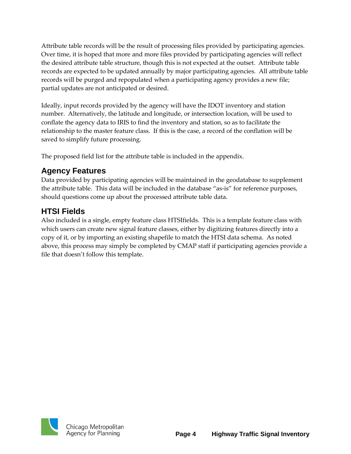Attribute table records will be the result of processing files provided by participating agencies. Over time, it is hoped that more and more files provided by participating agencies will reflect the desired attribute table structure, though this is not expected at the outset. Attribute table records are expected to be updated annually by major participating agencies. All attribute table records will be purged and repopulated when a participating agency provides a new file; partial updates are not anticipated or desired.

Ideally, input records provided by the agency will have the IDOT inventory and station number. Alternatively, the latitude and longitude, or intersection location, will be used to conflate the agency data to IRIS to find the inventory and station, so as to facilitate the relationship to the master feature class. If this is the case, a record of the conflation will be saved to simplify future processing.

The proposed field list for the attribute table is included in the appendix.

#### <span id="page-5-0"></span>**Agency Features**

Data provided by participating agencies will be maintained in the geodatabase to supplement the attribute table. This data will be included in the database "as-is" for reference purposes, should questions come up about the processed attribute table data.

#### <span id="page-5-1"></span>**HTSI Fields**

Also included is a single, empty feature class HTSIfields. This is a template feature class with which users can create new signal feature classes, either by digitizing features directly into a copy of it, or by importing an existing shapefile to match the HTSI data schema. As noted above, this process may simply be completed by CMAP staff if participating agencies provide a file that doesn't follow this template.

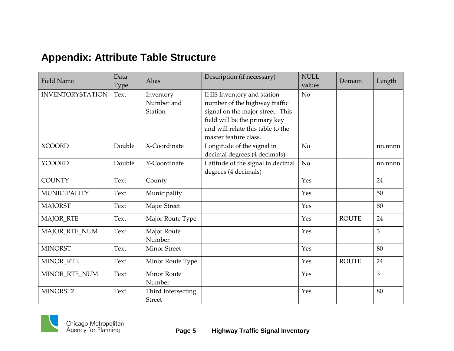### **Appendix: Attribute Table Structure**

<span id="page-6-0"></span>

| <b>Field Name</b>       | Data<br>Type | Alias                               | Description (if necessary)                                                                                                                                                                     | <b>NULL</b><br>values | Domain       | Length  |
|-------------------------|--------------|-------------------------------------|------------------------------------------------------------------------------------------------------------------------------------------------------------------------------------------------|-----------------------|--------------|---------|
| <b>INVENTORYSTATION</b> | Text         | Inventory<br>Number and<br>Station  | IHIS Inventory and station<br>number of the highway traffic<br>signal on the major street. This<br>field will be the primary key<br>and will relate this table to the<br>master feature class. | N <sub>o</sub>        |              |         |
| <b>XCOORD</b>           | Double       | X-Coordinate                        | Longitude of the signal in<br>decimal degrees (4 decimals)                                                                                                                                     | No                    |              | nn.nnnn |
| <b>YCOORD</b>           | Double       | Y-Coordinate                        | Latitude of the signal in decimal<br>degrees (4 decimals)                                                                                                                                      | No                    |              | nn.nnnn |
| <b>COUNTY</b>           | Text         | County                              |                                                                                                                                                                                                | Yes                   |              | 24      |
| <b>MUNICIPALITY</b>     | Text         | Municipality                        |                                                                                                                                                                                                | Yes                   |              | 50      |
| <b>MAJORST</b>          | Text         | Major Street                        |                                                                                                                                                                                                | Yes                   |              | 80      |
| MAJOR_RTE               | Text         | Major Route Type                    |                                                                                                                                                                                                | Yes                   | <b>ROUTE</b> | 24      |
| MAJOR_RTE_NUM           | Text         | Major Route<br>Number               |                                                                                                                                                                                                | Yes                   |              | 3       |
| <b>MINORST</b>          | Text         | <b>Minor Street</b>                 |                                                                                                                                                                                                | Yes                   |              | 80      |
| MINOR_RTE               | Text         | Minor Route Type                    |                                                                                                                                                                                                | Yes                   | <b>ROUTE</b> | 24      |
| MINOR_RTE_NUM           | Text         | <b>Minor Route</b><br>Number        |                                                                                                                                                                                                | Yes                   |              | 3       |
| MINORST2                | Text         | Third Intersecting<br><b>Street</b> |                                                                                                                                                                                                | Yes                   |              | 80      |

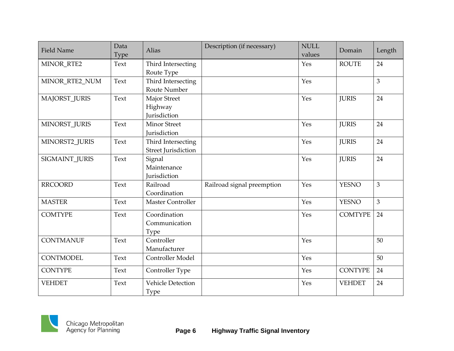| <b>Field Name</b> | Data<br>Type | Alias                                            | Description (if necessary) | <b>NULL</b><br>values | Domain         | Length         |
|-------------------|--------------|--------------------------------------------------|----------------------------|-----------------------|----------------|----------------|
| MINOR_RTE2        | Text         | Third Intersecting<br>Route Type                 |                            | Yes                   | <b>ROUTE</b>   | 24             |
| MINOR_RTE2_NUM    | Text         | Third Intersecting<br>Route Number               |                            | Yes                   |                | 3              |
| MAJORST JURIS     | Text         | Major Street<br>Highway<br>Jurisdiction          |                            | Yes                   | <b>JURIS</b>   | 24             |
| MINORST JURIS     | Text         | <b>Minor Street</b><br>Jurisdiction              |                            | Yes                   | <b>JURIS</b>   | 24             |
| MINORST2 JURIS    | Text         | Third Intersecting<br><b>Street Jurisdiction</b> |                            | Yes                   | <b>JURIS</b>   | 24             |
| SIGMAINT_JURIS    | Text         | Signal<br>Maintenance<br>Jurisdiction            |                            | Yes                   | <b>JURIS</b>   | 24             |
| <b>RRCOORD</b>    | Text         | Railroad<br>Coordination                         | Railroad signal preemption | Yes                   | <b>YESNO</b>   | 3              |
| <b>MASTER</b>     | Text         | Master Controller                                |                            | Yes                   | <b>YESNO</b>   | $\overline{3}$ |
| <b>COMTYPE</b>    | Text         | Coordination<br>Communication<br>Type            |                            | Yes                   | <b>COMTYPE</b> | 24             |
| <b>CONTMANUF</b>  | Text         | Controller<br>Manufacturer                       |                            | Yes                   |                | 50             |
| <b>CONTMODEL</b>  | Text         | Controller Model                                 |                            | Yes                   |                | 50             |
| <b>CONTYPE</b>    | Text         | Controller Type                                  |                            | Yes                   | <b>CONTYPE</b> | 24             |
| <b>VEHDET</b>     | Text         | <b>Vehicle Detection</b><br><b>Type</b>          |                            | Yes                   | <b>VEHDET</b>  | 24             |

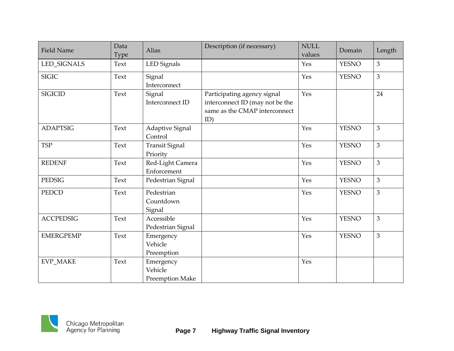| <b>Field Name</b> | Data<br>Type | <b>Alias</b>                            | Description (if necessary)                                                                             | <b>NULL</b><br>values | Domain       | Length |
|-------------------|--------------|-----------------------------------------|--------------------------------------------------------------------------------------------------------|-----------------------|--------------|--------|
| LED_SIGNALS       | Text         | LED Signals                             |                                                                                                        | Yes                   | <b>YESNO</b> | 3      |
| <b>SIGIC</b>      | Text         | Signal<br>Interconnect                  |                                                                                                        | Yes                   | <b>YESNO</b> | 3      |
| <b>SIGICID</b>    | Text         | Signal<br>Interconnect ID               | Participating agency signal<br>interconnect ID (may not be the<br>same as the CMAP interconnect<br>ID) | Yes                   |              | 24     |
| <b>ADAPTSIG</b>   | Text         | Adaptive Signal<br>Control              |                                                                                                        | Yes                   | <b>YESNO</b> | 3      |
| <b>TSP</b>        | Text         | <b>Transit Signal</b><br>Priority       |                                                                                                        | Yes                   | <b>YESNO</b> | 3      |
| <b>REDENF</b>     | Text         | Red-Light Camera<br>Enforcement         |                                                                                                        | Yes                   | <b>YESNO</b> | 3      |
| PEDSIG            | Text         | Pedestrian Signal                       |                                                                                                        | Yes                   | <b>YESNO</b> | 3      |
| <b>PEDCD</b>      | Text         | Pedestrian<br>Countdown<br>Signal       |                                                                                                        | Yes                   | <b>YESNO</b> | 3      |
| <b>ACCPEDSIG</b>  | Text         | Accessible<br>Pedestrian Signal         |                                                                                                        | Yes                   | <b>YESNO</b> | 3      |
| <b>EMERGPEMP</b>  | Text         | Emergency<br>Vehicle<br>Preemption      |                                                                                                        | Yes                   | <b>YESNO</b> | 3      |
| <b>EVP_MAKE</b>   | Text         | Emergency<br>Vehicle<br>Preemption Make |                                                                                                        | Yes                   |              |        |

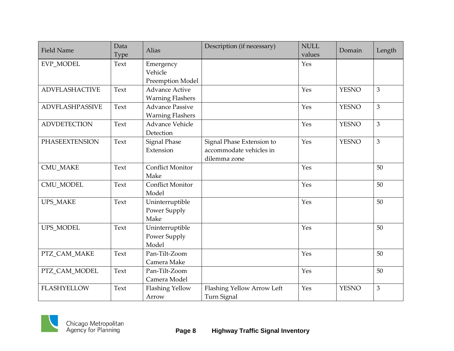| <b>Field Name</b>      | Data<br>Type | Alias                                             | Description (if necessary)                                           | <b>NULL</b><br>values | Domain       | Length |
|------------------------|--------------|---------------------------------------------------|----------------------------------------------------------------------|-----------------------|--------------|--------|
| EVP_MODEL              | Text         | Emergency<br>Vehicle<br>Preemption Model          |                                                                      | Yes                   |              |        |
| <b>ADVFLASHACTIVE</b>  | Text         | <b>Advance Active</b><br><b>Warning Flashers</b>  |                                                                      | Yes                   | <b>YESNO</b> | 3      |
| <b>ADVFLASHPASSIVE</b> | Text         | <b>Advance Passive</b><br><b>Warning Flashers</b> |                                                                      | Yes                   | <b>YESNO</b> | 3      |
| <b>ADVDETECTION</b>    | Text         | <b>Advance Vehicle</b><br>Detection               |                                                                      | Yes                   | <b>YESNO</b> | 3      |
| <b>PHASEEXTENSION</b>  | Text         | <b>Signal Phase</b><br>Extension                  | Signal Phase Extension to<br>accommodate vehicles in<br>dilemma zone | Yes                   | <b>YESNO</b> | 3      |
| <b>CMU_MAKE</b>        | Text         | <b>Conflict Monitor</b><br>Make                   |                                                                      | Yes                   |              | 50     |
| <b>CMU MODEL</b>       | Text         | <b>Conflict Monitor</b><br>Model                  |                                                                      | Yes                   |              | 50     |
| <b>UPS_MAKE</b>        | Text         | Uninterruptible<br>Power Supply<br>Make           |                                                                      | Yes                   |              | 50     |
| UPS MODEL              | Text         | Uninterruptible<br>Power Supply<br>Model          |                                                                      | Yes                   |              | 50     |
| PTZ CAM MAKE           | Text         | Pan-Tilt-Zoom<br>Camera Make                      |                                                                      | Yes                   |              | 50     |
| PTZ_CAM_MODEL          | Text         | Pan-Tilt-Zoom<br>Camera Model                     |                                                                      | Yes                   |              | 50     |
| <b>FLASHYELLOW</b>     | Text         | <b>Flashing Yellow</b><br>Arrow                   | Flashing Yellow Arrow Left<br>Turn Signal                            | Yes                   | <b>YESNO</b> | 3      |